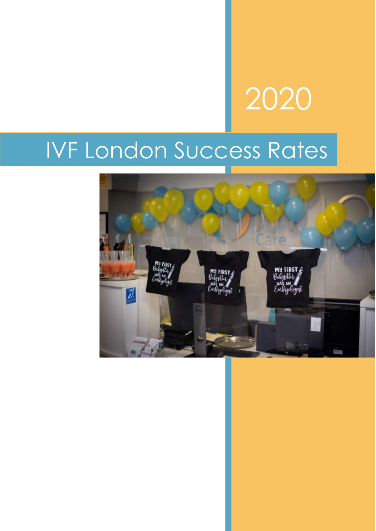# 2020

# IVF London Success Rates

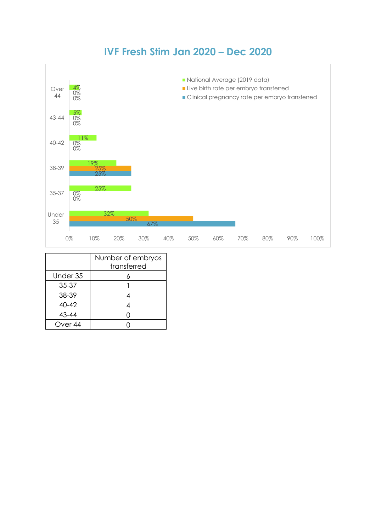## **IVF Fresh Stim Jan 2020 – Dec 2020**



|                    | Number of embryos<br>transferred |
|--------------------|----------------------------------|
| Under 35           |                                  |
| 35-37              |                                  |
| 38-39              |                                  |
| $40 - 42$          |                                  |
| 43-44              |                                  |
| Over <sub>44</sub> |                                  |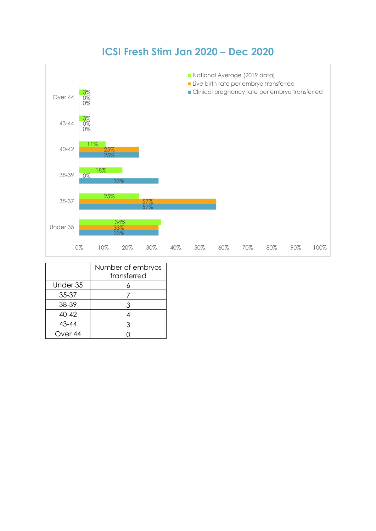## **ICSI Fresh Stim Jan 2020 – Dec 2020**



|                    | Number of embryos |
|--------------------|-------------------|
|                    | transferred       |
| Under 35           |                   |
| 35-37              |                   |
| 38-39              | 3                 |
| $40 - 42$          |                   |
| 43-44              | З                 |
| Over <sub>44</sub> |                   |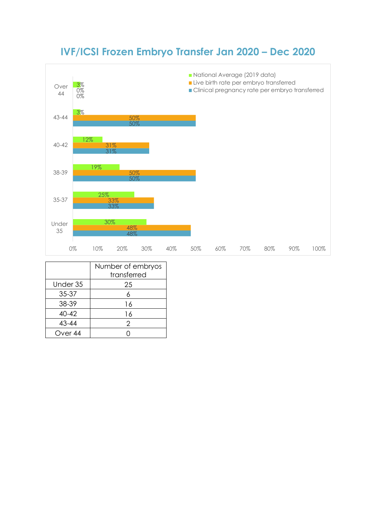# **IVF/ICSI Frozen Embryo Transfer Jan 2020 – Dec 2020**



|                    | Number of embryos<br>transferred |
|--------------------|----------------------------------|
| Under 35           | 25                               |
| 35-37              |                                  |
| 38-39              | 16                               |
| $40 - 42$          | 16                               |
| 43-44              | 2                                |
| Over <sub>44</sub> |                                  |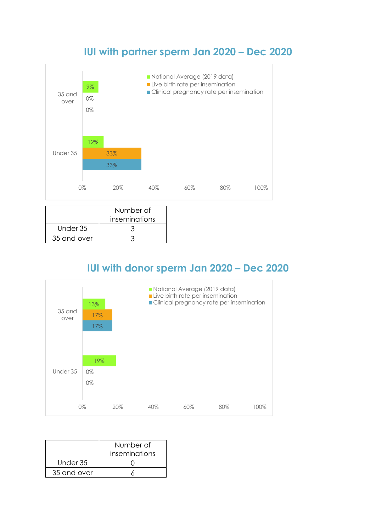#### **IUI with partner sperm Jan 2020 – Dec 2020**



|             | Number of     |
|-------------|---------------|
|             | inseminations |
| Under 35    |               |
| 35 and over |               |

## **IUI with donor sperm Jan 2020 – Dec 2020**



|             | Number of     |
|-------------|---------------|
|             | inseminations |
| Under 35    |               |
| 35 and over |               |